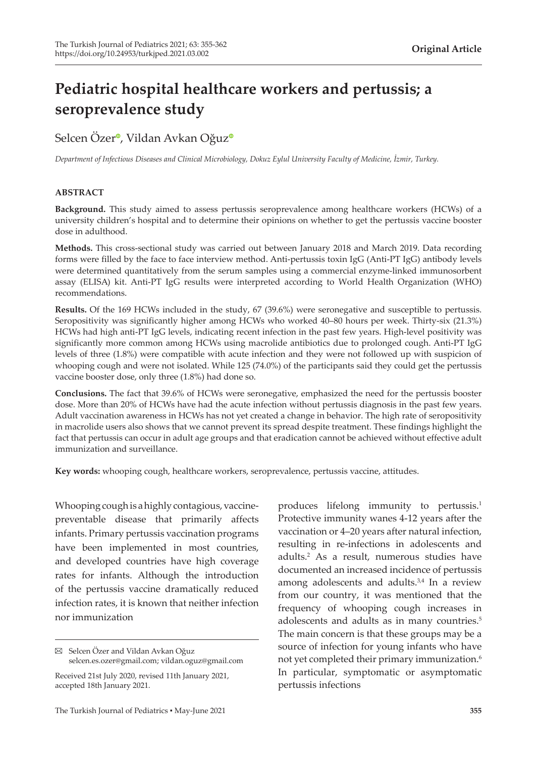# **Pediatric hospital healthcare workers and pertussis; a seroprevalence study**

Selcen Öze[r](https://orcid.org/0000-0003-2905-3168)<sup>o</sup>, Vildan Avkan Oğu[z](https://orcid.org/0000-0001-7648-7730)<sup>o</sup>

*Department of Infectious Diseases and Clinical Microbiology, Dokuz Eylul University Faculty of Medicine, İzmir, Turkey.*

### **ABSTRACT**

**Background.** This study aimed to assess pertussis seroprevalence among healthcare workers (HCWs) of a university children's hospital and to determine their opinions on whether to get the pertussis vaccine booster dose in adulthood.

**Methods.** This cross-sectional study was carried out between January 2018 and March 2019. Data recording forms were filled by the face to face interview method. Anti-pertussis toxin IgG (Anti-PT IgG) antibody levels were determined quantitatively from the serum samples using a commercial enzyme-linked immunosorbent assay (ELISA) kit. Anti-PT IgG results were interpreted according to World Health Organization (WHO) recommendations.

**Results.** Of the 169 HCWs included in the study, 67 (39.6%) were seronegative and susceptible to pertussis. Seropositivity was significantly higher among HCWs who worked 40–80 hours per week. Thirty-six (21.3%) HCWs had high anti-PT IgG levels, indicating recent infection in the past few years. High-level positivity was significantly more common among HCWs using macrolide antibiotics due to prolonged cough. Anti-PT IgG levels of three (1.8%) were compatible with acute infection and they were not followed up with suspicion of whooping cough and were not isolated. While 125 (74.0%) of the participants said they could get the pertussis vaccine booster dose, only three (1.8%) had done so.

**Conclusions.** The fact that 39.6% of HCWs were seronegative, emphasized the need for the pertussis booster dose. More than 20% of HCWs have had the acute infection without pertussis diagnosis in the past few years. Adult vaccination awareness in HCWs has not yet created a change in behavior. The high rate of seropositivity in macrolide users also shows that we cannot prevent its spread despite treatment. These findings highlight the fact that pertussis can occur in adult age groups and that eradication cannot be achieved without effective adult immunization and surveillance.

**Key words:** whooping cough, healthcare workers, seroprevalence, pertussis vaccine, attitudes.

Whooping cough is a highly contagious, vaccinepreventable disease that primarily affects infants. Primary pertussis vaccination programs have been implemented in most countries, and developed countries have high coverage rates for infants. Although the introduction of the pertussis vaccine dramatically reduced infection rates, it is known that neither infection nor immunization

produces lifelong immunity to pertussis.<sup>1</sup> Protective immunity wanes 4-12 years after the vaccination or 4–20 years after natural infection, resulting in re-infections in adolescents and adults.<sup>2</sup> As a result, numerous studies have documented an increased incidence of pertussis among adolescents and adults.<sup>3,4</sup> In a review from our country, it was mentioned that the frequency of whooping cough increases in adolescents and adults as in many countries.<sup>5</sup> The main concern is that these groups may be a source of infection for young infants who have not yet completed their primary immunization.<sup>6</sup> In particular, symptomatic or asymptomatic pertussis infections

Selcen Özer and Vildan Avkan Oğuz selcen.es.ozer@gmail.com; vildan.oguz@gmail.com

Received 21st July 2020, revised 11th January 2021, accepted 18th January 2021.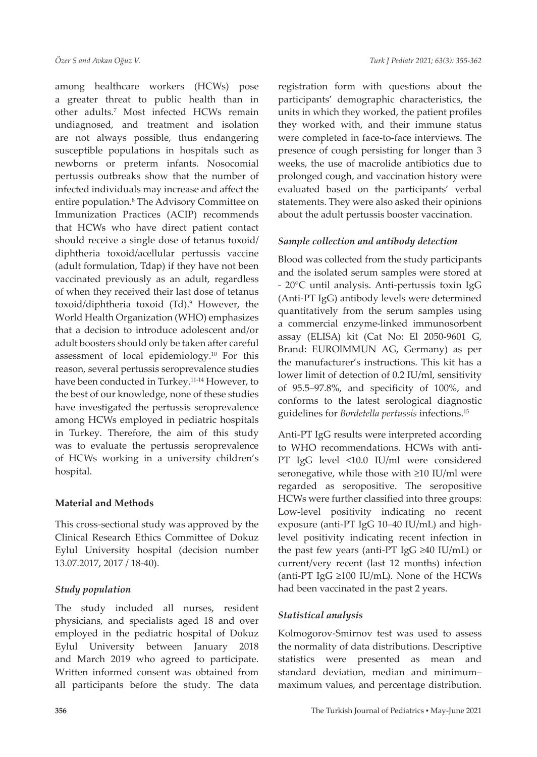among healthcare workers (HCWs) pose a greater threat to public health than in other adults.<sup>7</sup> Most infected HCWs remain undiagnosed, and treatment and isolation are not always possible, thus endangering susceptible populations in hospitals such as newborns or preterm infants. Nosocomial pertussis outbreaks show that the number of infected individuals may increase and affect the entire population.<sup>8</sup> The Advisory Committee on Immunization Practices (ACIP) recommends that HCWs who have direct patient contact should receive a single dose of tetanus toxoid/ diphtheria toxoid/acellular pertussis vaccine (adult formulation, Tdap) if they have not been vaccinated previously as an adult, regardless of when they received their last dose of tetanus toxoid/diphtheria toxoid (Td).<sup>9</sup> However, the World Health Organization (WHO) emphasizes that a decision to introduce adolescent and/or adult boosters should only be taken after careful assessment of local epidemiology.<sup>10</sup> For this reason, several pertussis seroprevalence studies have been conducted in Turkey.<sup>11-14</sup> However, to the best of our knowledge, none of these studies have investigated the pertussis seroprevalence among HCWs employed in pediatric hospitals in Turkey. Therefore, the aim of this study was to evaluate the pertussis seroprevalence of HCWs working in a university children's hospital.

# **Material and Methods**

This cross-sectional study was approved by the Clinical Research Ethics Committee of Dokuz Eylul University hospital (decision number 13.07.2017, 2017 / 18-40).

# *Study population*

The study included all nurses, resident physicians, and specialists aged 18 and over employed in the pediatric hospital of Dokuz Eylul University between January 2018 and March 2019 who agreed to participate. Written informed consent was obtained from all participants before the study. The data

registration form with questions about the participants' demographic characteristics, the units in which they worked, the patient profiles they worked with, and their immune status were completed in face-to-face interviews. The presence of cough persisting for longer than 3 weeks, the use of macrolide antibiotics due to prolonged cough, and vaccination history were evaluated based on the participants' verbal statements. They were also asked their opinions about the adult pertussis booster vaccination.

# *Sample collection and antibody detection*

Blood was collected from the study participants and the isolated serum samples were stored at - 20°C until analysis. Anti-pertussis toxin IgG (Anti-PT IgG) antibody levels were determined quantitatively from the serum samples using a commercial enzyme-linked immunosorbent assay (ELISA) kit (Cat No: El 2050-9601 G, Brand: EUROlMMUN AG, Germany) as per the manufacturer's instructions. This kit has a lower limit of detection of 0.2 IU/ml, sensitivity of 95.5–97.8%, and specificity of 100%, and conforms to the latest serological diagnostic guidelines for *Bordetella pertussis* infections.<sup>15</sup>

Anti-PT IgG results were interpreted according to WHO recommendations. HCWs with anti-PT IgG level <10.0 IU/ml were considered seronegative, while those with ≥10 IU/ml were regarded as seropositive. The seropositive HCWs were further classified into three groups: Low-level positivity indicating no recent exposure (anti-PT IgG 10–40 IU/mL) and highlevel positivity indicating recent infection in the past few years (anti-PT IgG ≥40 IU/mL) or current/very recent (last 12 months) infection (anti-PT IgG  $\geq$ 100 IU/mL). None of the HCWs had been vaccinated in the past 2 years.

# *Statistical analysis*

Kolmogorov-Smirnov test was used to assess the normality of data distributions. Descriptive statistics were presented as mean and standard deviation, median and minimum– maximum values, and percentage distribution.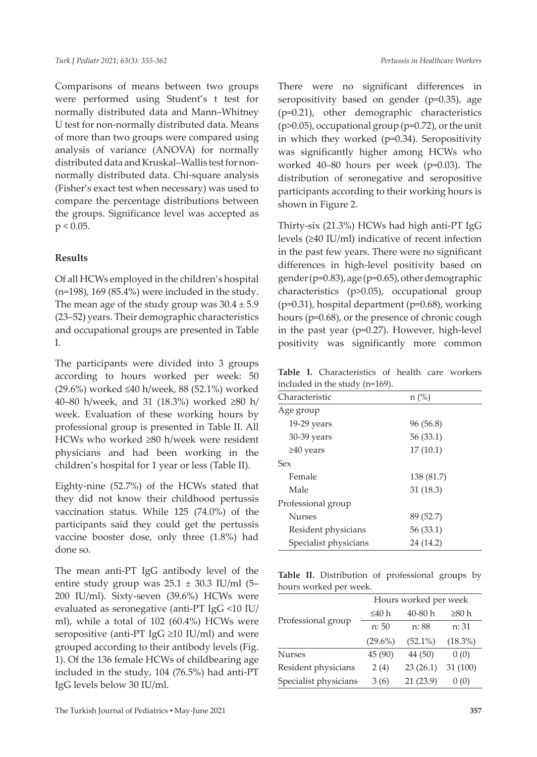Comparisons of means between two groups were performed using Student's t test for normally distributed data and Mann–Whitney U test for non-normally distributed data. Means of more than two groups were compared using analysis of variance (ANOVA) for normally distributed data and Kruskal–Wallis test for nonnormally distributed data. Chi-square analysis (Fisher's exact test when necessary) was used to compare the percentage distributions between the groups. Significance level was accepted as  $p < 0.05$ .

# **Results**

Of all HCWs employed in the children's hospital  $(n=198)$ , 169 (85.4%) were included in the study. The mean age of the study group was  $30.4 \pm 5.9$ (23–52) years. Their demographic characteristics and occupational groups are presented in Table I.

The participants were divided into 3 groups according to hours worked per week: 50 (29.6%) worked ≤40 h/week, 88 (52.1%) worked 40–80 h/week, and 31 (18.3%) worked ≥80 h/ week. Evaluation of these working hours by professional group is presented in Table II. All HCWs who worked ≥80 h/week were resident physicians and had been working in the children's hospital for 1 year or less (Table II).

Eighty-nine (52.7%) of the HCWs stated that they did not know their childhood pertussis vaccination status. While 125 (74.0%) of the participants said they could get the pertussis vaccine booster dose, only three (1.8%) had done so.

The mean anti-PT IgG antibody level of the entire study group was  $25.1 \pm 30.3$  IU/ml (5– 200 IU/ml). Sixty-seven (39.6%) HCWs were evaluated as seronegative (anti-PT IgG <10 IU/ ml), while a total of 102 (60.4%) HCWs were seropositive (anti-PT IgG ≥10 IU/ml) and were grouped according to their antibody levels (Fig. 1). Of the 136 female HCWs of childbearing age included in the study, 104 (76.5%) had anti-PT IgG levels below 30 IU/ml.

There were no significant differences in seropositivity based on gender (p=0.35), age (p=0.21), other demographic characteristics (p>0.05), occupational group (p=0.72), or the unit in which they worked (p=0.34). Seropositivity was significantly higher among HCWs who worked 40–80 hours per week (p=0.03). The distribution of seronegative and seropositive participants according to their working hours is shown in Figure 2.

Thirty-six (21.3%) HCWs had high anti-PT IgG levels (≥40 IU/ml) indicative of recent infection in the past few years. There were no significant differences in high-level positivity based on gender (p=0.83), age (p=0.65), other demographic characteristics (p>0.05), occupational group (p=0.31), hospital department (p=0.68), working hours (p=0.68), or the presence of chronic cough in the past year (p=0.27). However, high-level positivity was significantly more common

**Table I.** Characteristics of health care workers included in the study (n=169).

| Characteristic        | $n (\%)$   |
|-----------------------|------------|
| Age group             |            |
| $19-29$ years         | 96 (56.8)  |
| 30-39 years           | 56 (33.1)  |
| $\geq 40$ years       | 17(10.1)   |
| Sex                   |            |
| Female                | 138 (81.7) |
| Male                  | 31(18.3)   |
| Professional group    |            |
| <b>Nurses</b>         | 89 (52.7)  |
| Resident physicians   | 56 (33.1)  |
| Specialist physicians | 24 (14.2)  |
|                       |            |

|  |                        | Table II. Distribution of professional groups by |  |
|--|------------------------|--------------------------------------------------|--|
|  | hours worked per week. |                                                  |  |

|                       | Hours worked per week |            |            |  |  |
|-----------------------|-----------------------|------------|------------|--|--|
| Professional group    | ≤40 h                 | $40 - 80h$ | ≥80 h      |  |  |
|                       | n: 50                 | n: 88      | n: 31      |  |  |
|                       | $(29.6\%)$            | $(52.1\%)$ | $(18.3\%)$ |  |  |
| <b>Nurses</b>         | 45 (90)               | 44 (50)    | 0(0)       |  |  |
| Resident physicians   | 2(4)                  | 23(26.1)   | 31(100)    |  |  |
| Specialist physicians | 3(6)                  | 21(23.9)   | 0(0)       |  |  |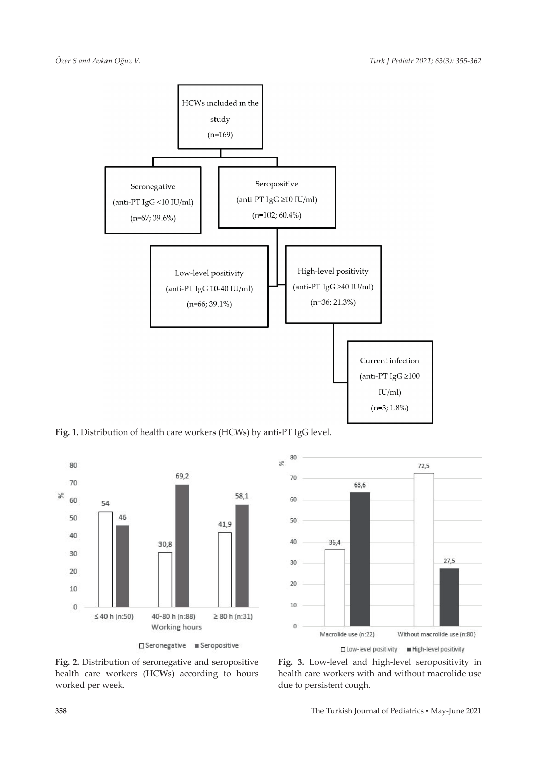

Fig. 1. Distribution of health care workers (HCWs) by anti-PT IgG level.





**Fig. 2.** Distribution of seronegative and seropositive health care workers (HCWs) according to hours worked per week.

**Fig. 3.** Low-level and high-level seropositivity in health care workers with and without macrolide use due to persistent cough.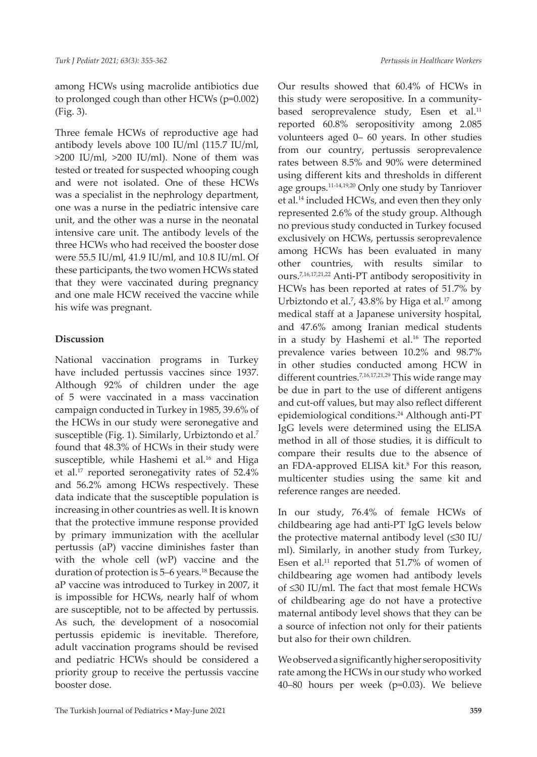among HCWs using macrolide antibiotics due to prolonged cough than other HCWs (p=0.002) (Fig. 3).

Three female HCWs of reproductive age had antibody levels above 100 IU/ml (115.7 IU/ml, >200 IU/ml, >200 IU/ml). None of them was tested or treated for suspected whooping cough and were not isolated. One of these HCWs was a specialist in the nephrology department, one was a nurse in the pediatric intensive care unit, and the other was a nurse in the neonatal intensive care unit. The antibody levels of the three HCWs who had received the booster dose were 55.5 IU/ml, 41.9 IU/ml, and 10.8 IU/ml. Of these participants, the two women HCWs stated that they were vaccinated during pregnancy and one male HCW received the vaccine while his wife was pregnant.

# **Discussion**

National vaccination programs in Turkey have included pertussis vaccines since 1937. Although 92% of children under the age of 5 were vaccinated in a mass vaccination campaign conducted in Turkey in 1985, 39.6% of the HCWs in our study were seronegative and susceptible (Fig. 1). Similarly, Urbiztondo et al.<sup>7</sup> found that 48.3% of HCWs in their study were susceptible, while Hashemi et al.<sup>16</sup> and Higa et al.17 reported seronegativity rates of 52.4% and 56.2% among HCWs respectively. These data indicate that the susceptible population is increasing in other countries as well. It is known that the protective immune response provided by primary immunization with the acellular pertussis (aP) vaccine diminishes faster than with the whole cell (wP) vaccine and the duration of protection is 5–6 years.<sup>18</sup> Because the aP vaccine was introduced to Turkey in 2007, it is impossible for HCWs, nearly half of whom are susceptible, not to be affected by pertussis. As such, the development of a nosocomial pertussis epidemic is inevitable. Therefore, adult vaccination programs should be revised and pediatric HCWs should be considered a priority group to receive the pertussis vaccine booster dose.

Our results showed that 60.4% of HCWs in this study were seropositive. In a communitybased seroprevalence study, Esen et al.<sup>11</sup> reported 60.8% seropositivity among 2.085 volunteers aged 0– 60 years. In other studies from our country, pertussis seroprevalence rates between 8.5% and 90% were determined using different kits and thresholds in different age groups.11-14,19,20 Only one study by Tanriover et al.14 included HCWs, and even then they only represented 2.6% of the study group. Although no previous study conducted in Turkey focused exclusively on HCWs, pertussis seroprevalence among HCWs has been evaluated in many other countries, with results similar to ours.7,16,17,21,22 Anti-PT antibody seropositivity in HCWs has been reported at rates of 51.7% by Urbiztondo et al.<sup>7</sup>, 43.8% by Higa et al.<sup>17</sup> among medical staff at a Japanese university hospital, and 47.6% among Iranian medical students in a study by Hashemi et al.<sup>16</sup> The reported prevalence varies between 10.2% and 98.7% in other studies conducted among HCW in different countries.7,16,17,21,29 This wide range may be due in part to the use of different antigens and cut-off values, but may also reflect different epidemiological conditions.24 Although anti-PT IgG levels were determined using the ELISA method in all of those studies, it is difficult to compare their results due to the absence of an FDA-approved ELISA kit.<sup>8</sup> For this reason, multicenter studies using the same kit and reference ranges are needed.

In our study, 76.4% of female HCWs of childbearing age had anti-PT IgG levels below the protective maternal antibody level (≤30 IU/ ml). Similarly, in another study from Turkey, Esen et al.<sup>11</sup> reported that 51.7% of women of childbearing age women had antibody levels of ≤30 IU/ml. The fact that most female HCWs of childbearing age do not have a protective maternal antibody level shows that they can be a source of infection not only for their patients but also for their own children.

We observed a significantly higher seropositivity rate among the HCWs in our study who worked 40–80 hours per week (p=0.03). We believe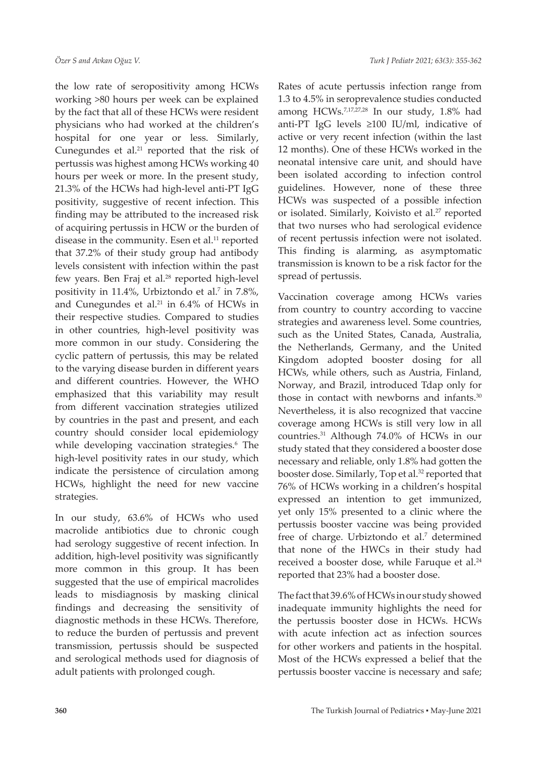the low rate of seropositivity among HCWs working >80 hours per week can be explained by the fact that all of these HCWs were resident physicians who had worked at the children's hospital for one year or less. Similarly, Cunegundes et al.<sup>21</sup> reported that the risk of pertussis was highest among HCWs working 40 hours per week or more. In the present study, 21.3% of the HCWs had high-level anti-PT IgG positivity, suggestive of recent infection. This finding may be attributed to the increased risk of acquiring pertussis in HCW or the burden of disease in the community. Esen et al.<sup>11</sup> reported that 37.2% of their study group had antibody levels consistent with infection within the past few years. Ben Fraj et al.<sup>28</sup> reported high-level positivity in 11.4%, Urbiztondo et al.7 in 7.8%, and Cunegundes et al.<sup>21</sup> in 6.4% of HCWs in their respective studies. Compared to studies in other countries, high-level positivity was more common in our study. Considering the cyclic pattern of pertussis, this may be related to the varying disease burden in different years and different countries. However, the WHO emphasized that this variability may result from different vaccination strategies utilized by countries in the past and present, and each country should consider local epidemiology while developing vaccination strategies.6 The high-level positivity rates in our study, which indicate the persistence of circulation among HCWs, highlight the need for new vaccine strategies.

In our study, 63.6% of HCWs who used macrolide antibiotics due to chronic cough had serology suggestive of recent infection. In addition, high-level positivity was significantly more common in this group. It has been suggested that the use of empirical macrolides leads to misdiagnosis by masking clinical findings and decreasing the sensitivity of diagnostic methods in these HCWs. Therefore, to reduce the burden of pertussis and prevent transmission, pertussis should be suspected and serological methods used for diagnosis of adult patients with prolonged cough.

Rates of acute pertussis infection range from 1.3 to 4.5% in seroprevalence studies conducted among HCWs.7,17,27,28 In our study, 1.8% had anti-PT IgG levels ≥100 IU/ml, indicative of active or very recent infection (within the last 12 months). One of these HCWs worked in the neonatal intensive care unit, and should have been isolated according to infection control guidelines. However, none of these three HCWs was suspected of a possible infection or isolated. Similarly, Koivisto et al.<sup>27</sup> reported that two nurses who had serological evidence of recent pertussis infection were not isolated. This finding is alarming, as asymptomatic transmission is known to be a risk factor for the spread of pertussis.

Vaccination coverage among HCWs varies from country to country according to vaccine strategies and awareness level. Some countries, such as the United States, Canada, Australia, the Netherlands, Germany, and the United Kingdom adopted booster dosing for all HCWs, while others, such as Austria, Finland, Norway, and Brazil, introduced Tdap only for those in contact with newborns and infants.<sup>30</sup> Nevertheless, it is also recognized that vaccine coverage among HCWs is still very low in all countries.31 Although 74.0% of HCWs in our study stated that they considered a booster dose necessary and reliable, only 1.8% had gotten the booster dose. Similarly, Top et al.<sup>32</sup> reported that 76% of HCWs working in a children's hospital expressed an intention to get immunized, yet only 15% presented to a clinic where the pertussis booster vaccine was being provided free of charge. Urbiztondo et al.<sup>7</sup> determined that none of the HWCs in their study had received a booster dose, while Faruque et al.<sup>24</sup> reported that 23% had a booster dose.

The fact that 39.6% of HCWs in our study showed inadequate immunity highlights the need for the pertussis booster dose in HCWs. HCWs with acute infection act as infection sources for other workers and patients in the hospital. Most of the HCWs expressed a belief that the pertussis booster vaccine is necessary and safe;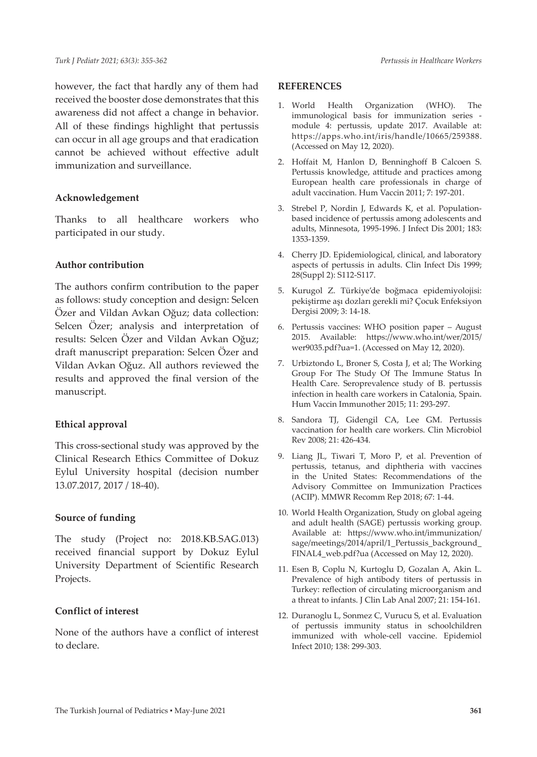however, the fact that hardly any of them had received the booster dose demonstrates that this awareness did not affect a change in behavior. All of these findings highlight that pertussis can occur in all age groups and that eradication cannot be achieved without effective adult immunization and surveillance.

#### **Acknowledgement**

Thanks to all healthcare workers who participated in our study.

### **Author contribution**

The authors confirm contribution to the paper as follows: study conception and design: Selcen Özer and Vildan Avkan Oğuz; data collection: Selcen Özer; analysis and interpretation of results: Selcen Özer and Vildan Avkan Oğuz; draft manuscript preparation: Selcen Özer and Vildan Avkan Oğuz. All authors reviewed the results and approved the final version of the manuscript.

# **Ethical approval**

This cross-sectional study was approved by the Clinical Research Ethics Committee of Dokuz Eylul University hospital (decision number 13.07.2017, 2017 / 18-40).

#### **Source of funding**

The study (Project no: 2018.KB.SAG.013) received financial support by Dokuz Eylul University Department of Scientific Research Projects.

#### **Conflict of interest**

None of the authors have a conflict of interest to declare.

#### **REFERENCES**

- 1. World Health Organization (WHO). The immunological basis for immunization series module 4: pertussis, update 2017. Available at: https://apps.who.int/iris/handle/10665/259388. (Accessed on May 12, 2020).
- 2. Hoffait M, Hanlon D, Benninghoff B Calcoen S. Pertussis knowledge, attitude and practices among European health care professionals in charge of adult vaccination. Hum Vaccin 2011; 7: 197-201.
- 3. Strebel P, Nordin J, Edwards K, et al. Population‐ based incidence of pertussis among adolescents and adults, Minnesota, 1995-1996. J Infect Dis 2001; 183: 1353-1359.
- 4. Cherry JD. Epidemiological, clinical, and laboratory aspects of pertussis in adults. Clin Infect Dis 1999; 28(Suppl 2): S112-S117.
- 5. Kurugol Z. Türkiye'de boğmaca epidemiyolojisi: pekiştirme aşı dozları gerekli mi? Çocuk Enfeksiyon Dergisi 2009; 3: 14-18.
- 6. Pertussis vaccines: WHO position paper August 2015. Available: https://www.who.int/wer/2015/ wer9035.pdf?ua=1. (Accessed on May 12, 2020).
- 7. Urbiztondo L, Broner S, Costa J, et al; The Working Group For The Study Of The Immune Status In Health Care. Seroprevalence study of B. pertussis infection in health care workers in Catalonia, Spain. Hum Vaccin Immunother 2015; 11: 293-297.
- 8. Sandora TJ, Gidengil CA, Lee GM. Pertussis vaccination for health care workers. Clin Microbiol Rev 2008; 21: 426-434.
- 9. Liang JL, Tiwari T, Moro P, et al. Prevention of pertussis, tetanus, and diphtheria with vaccines in the United States: Recommendations of the Advisory Committee on Immunization Practices (ACIP). MMWR Recomm Rep 2018; 67: 1-44.
- 10. World Health Organization, Study on global ageing and adult health (SAGE) pertussis working group. Available at: https://www.who.int/immunization/ sage/meetings/2014/april/1\_Pertussis\_background\_ FINAL4\_web.pdf?ua (Accessed on May 12, 2020).
- 11. Esen B, Coplu N, Kurtoglu D, Gozalan A, Akin L. Prevalence of high antibody titers of pertussis in Turkey: reflection of circulating microorganism and a threat to infants. J Clin Lab Anal 2007; 21: 154-161.
- 12. Duranoglu L, Sonmez C, Vurucu S, et al. Evaluation of pertussis immunity status in schoolchildren immunized with whole-cell vaccine. Epidemiol Infect 2010; 138: 299-303.